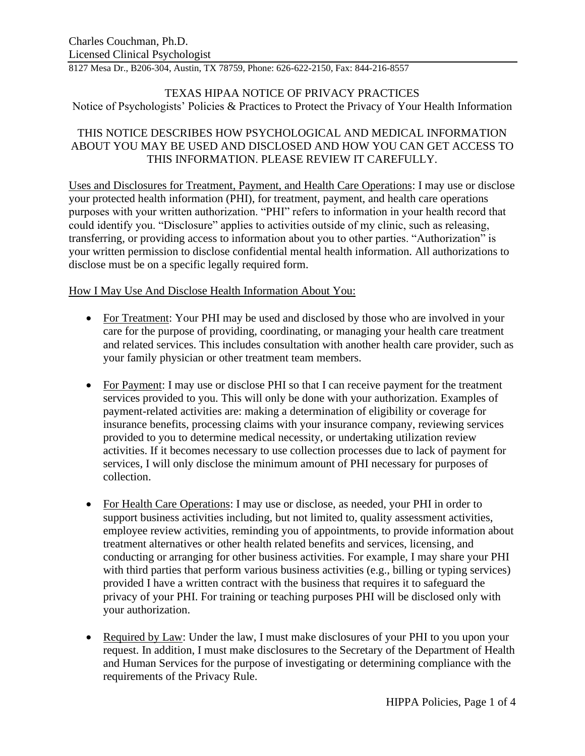8127 Mesa Dr., B206-304, Austin, TX 78759, Phone: 626-622-2150, Fax: 844-216-8557

# TEXAS HIPAA NOTICE OF PRIVACY PRACTICES Notice of Psychologists' Policies & Practices to Protect the Privacy of Your Health Information

## THIS NOTICE DESCRIBES HOW PSYCHOLOGICAL AND MEDICAL INFORMATION ABOUT YOU MAY BE USED AND DISCLOSED AND HOW YOU CAN GET ACCESS TO THIS INFORMATION. PLEASE REVIEW IT CAREFULLY.

Uses and Disclosures for Treatment, Payment, and Health Care Operations: I may use or disclose your protected health information (PHI), for treatment, payment, and health care operations purposes with your written authorization. "PHI" refers to information in your health record that could identify you. "Disclosure" applies to activities outside of my clinic, such as releasing, transferring, or providing access to information about you to other parties. "Authorization" is your written permission to disclose confidential mental health information. All authorizations to disclose must be on a specific legally required form.

#### How I May Use And Disclose Health Information About You:

- For Treatment: Your PHI may be used and disclosed by those who are involved in your care for the purpose of providing, coordinating, or managing your health care treatment and related services. This includes consultation with another health care provider, such as your family physician or other treatment team members.
- For Payment: I may use or disclose PHI so that I can receive payment for the treatment services provided to you. This will only be done with your authorization. Examples of payment-related activities are: making a determination of eligibility or coverage for insurance benefits, processing claims with your insurance company, reviewing services provided to you to determine medical necessity, or undertaking utilization review activities. If it becomes necessary to use collection processes due to lack of payment for services, I will only disclose the minimum amount of PHI necessary for purposes of collection.
- For Health Care Operations: I may use or disclose, as needed, your PHI in order to support business activities including, but not limited to, quality assessment activities, employee review activities, reminding you of appointments, to provide information about treatment alternatives or other health related benefits and services, licensing, and conducting or arranging for other business activities. For example, I may share your PHI with third parties that perform various business activities (e.g., billing or typing services) provided I have a written contract with the business that requires it to safeguard the privacy of your PHI. For training or teaching purposes PHI will be disclosed only with your authorization.
- Required by Law: Under the law, I must make disclosures of your PHI to you upon your request. In addition, I must make disclosures to the Secretary of the Department of Health and Human Services for the purpose of investigating or determining compliance with the requirements of the Privacy Rule.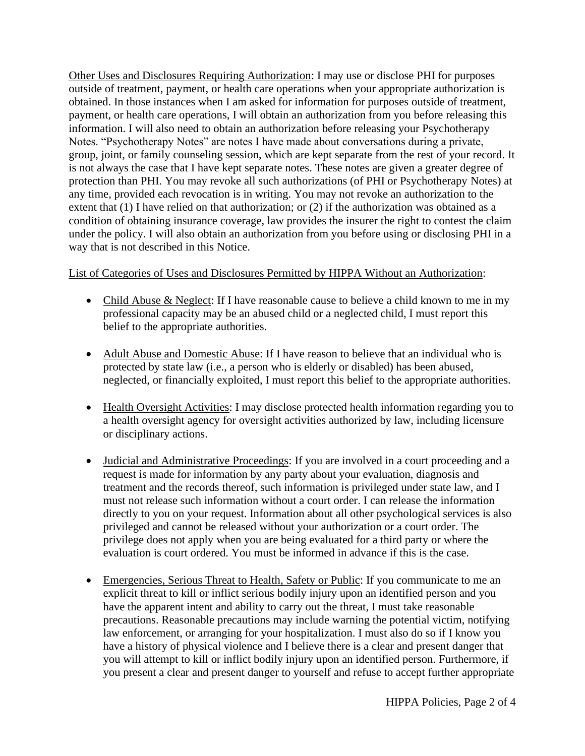Other Uses and Disclosures Requiring Authorization: I may use or disclose PHI for purposes outside of treatment, payment, or health care operations when your appropriate authorization is obtained. In those instances when I am asked for information for purposes outside of treatment, payment, or health care operations, I will obtain an authorization from you before releasing this information. I will also need to obtain an authorization before releasing your Psychotherapy Notes. "Psychotherapy Notes" are notes I have made about conversations during a private, group, joint, or family counseling session, which are kept separate from the rest of your record. It is not always the case that I have kept separate notes. These notes are given a greater degree of protection than PHI. You may revoke all such authorizations (of PHI or Psychotherapy Notes) at any time, provided each revocation is in writing. You may not revoke an authorization to the extent that (1) I have relied on that authorization; or (2) if the authorization was obtained as a condition of obtaining insurance coverage, law provides the insurer the right to contest the claim under the policy. I will also obtain an authorization from you before using or disclosing PHI in a way that is not described in this Notice.

### List of Categories of Uses and Disclosures Permitted by HIPPA Without an Authorization:

- Child Abuse & Neglect: If I have reasonable cause to believe a child known to me in my professional capacity may be an abused child or a neglected child, I must report this belief to the appropriate authorities.
- Adult Abuse and Domestic Abuse: If I have reason to believe that an individual who is protected by state law (i.e., a person who is elderly or disabled) has been abused, neglected, or financially exploited, I must report this belief to the appropriate authorities.
- Health Oversight Activities: I may disclose protected health information regarding you to a health oversight agency for oversight activities authorized by law, including licensure or disciplinary actions.
- Judicial and Administrative Proceedings: If you are involved in a court proceeding and a request is made for information by any party about your evaluation, diagnosis and treatment and the records thereof, such information is privileged under state law, and I must not release such information without a court order. I can release the information directly to you on your request. Information about all other psychological services is also privileged and cannot be released without your authorization or a court order. The privilege does not apply when you are being evaluated for a third party or where the evaluation is court ordered. You must be informed in advance if this is the case.
- Emergencies, Serious Threat to Health, Safety or Public: If you communicate to me an explicit threat to kill or inflict serious bodily injury upon an identified person and you have the apparent intent and ability to carry out the threat, I must take reasonable precautions. Reasonable precautions may include warning the potential victim, notifying law enforcement, or arranging for your hospitalization. I must also do so if I know you have a history of physical violence and I believe there is a clear and present danger that you will attempt to kill or inflict bodily injury upon an identified person. Furthermore, if you present a clear and present danger to yourself and refuse to accept further appropriate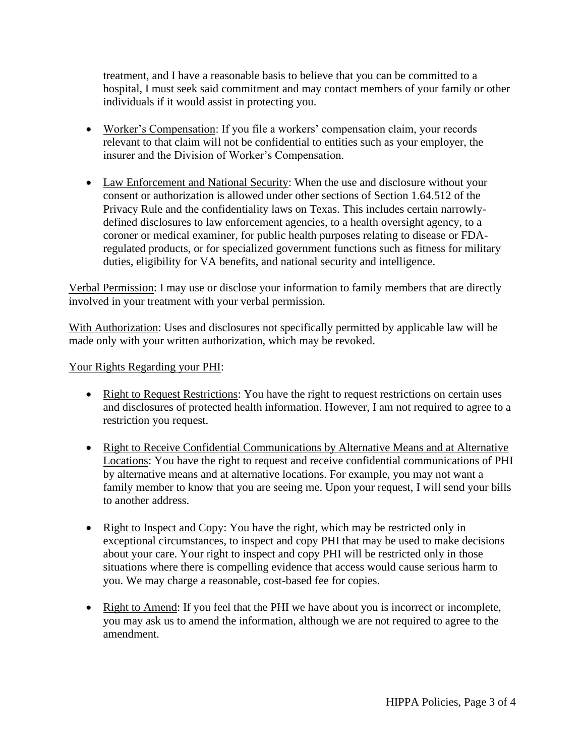treatment, and I have a reasonable basis to believe that you can be committed to a hospital, I must seek said commitment and may contact members of your family or other individuals if it would assist in protecting you.

- Worker's Compensation: If you file a workers' compensation claim, your records relevant to that claim will not be confidential to entities such as your employer, the insurer and the Division of Worker's Compensation.
- Law Enforcement and National Security: When the use and disclosure without your consent or authorization is allowed under other sections of Section 1.64.512 of the Privacy Rule and the confidentiality laws on Texas. This includes certain narrowlydefined disclosures to law enforcement agencies, to a health oversight agency, to a coroner or medical examiner, for public health purposes relating to disease or FDAregulated products, or for specialized government functions such as fitness for military duties, eligibility for VA benefits, and national security and intelligence.

Verbal Permission: I may use or disclose your information to family members that are directly involved in your treatment with your verbal permission.

With Authorization: Uses and disclosures not specifically permitted by applicable law will be made only with your written authorization, which may be revoked.

#### Your Rights Regarding your PHI:

- Right to Request Restrictions: You have the right to request restrictions on certain uses and disclosures of protected health information. However, I am not required to agree to a restriction you request.
- Right to Receive Confidential Communications by Alternative Means and at Alternative Locations: You have the right to request and receive confidential communications of PHI by alternative means and at alternative locations. For example, you may not want a family member to know that you are seeing me. Upon your request, I will send your bills to another address.
- Right to Inspect and Copy: You have the right, which may be restricted only in exceptional circumstances, to inspect and copy PHI that may be used to make decisions about your care. Your right to inspect and copy PHI will be restricted only in those situations where there is compelling evidence that access would cause serious harm to you. We may charge a reasonable, cost-based fee for copies.
- Right to Amend: If you feel that the PHI we have about you is incorrect or incomplete, you may ask us to amend the information, although we are not required to agree to the amendment.